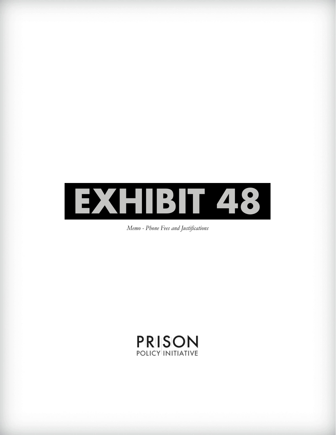

*Memo - Phone Fees and Justifications*

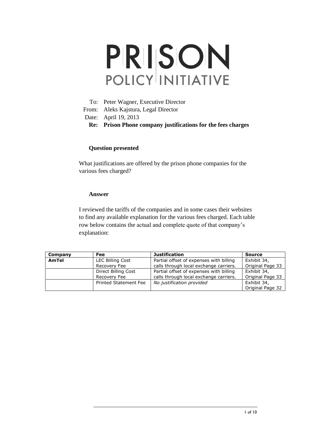## PRISON **POLICY INITIATIVE**

| Re: Prison Phone company justifications for the fees charges |
|--------------------------------------------------------------|
| Date: April 19, 2013                                         |
| From: Aleks Kajstura, Legal Director                         |
| To: Peter Wagner, Executive Director                         |

## **Question presented**

What justifications are offered by the prison phone companies for the various fees charged?

## **Answer**

I reviewed the tariffs of the companies and in some cases their websites to find any available explanation for the various fees charged. Each table row below contains the actual and complete quote of that company's explanation:

| Company | Fee                          | <b>Justification</b>                    | <b>Source</b>                   |
|---------|------------------------------|-----------------------------------------|---------------------------------|
| AmTel   | <b>LEC Billing Cost</b>      | Partial offset of expenses with billing | Exhibit 34,                     |
|         | Recovery Fee                 | calls through local exchange carriers.  | Original Page 33                |
|         | Direct Billing Cost          | Partial offset of expenses with billing | Exhibit 34,                     |
|         | Recovery Fee                 | calls through local exchange carriers.  | Original Page 33                |
|         | <b>Printed Statement Fee</b> | No justification provided               | Exhibit 34,<br>Original Page 32 |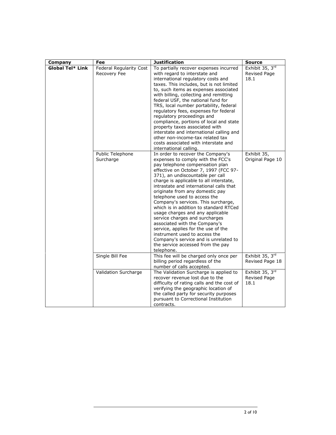| <b>Company</b>          | Fee                                            | <b>Justification</b>                                                                                                                                                                                                                                                                                                                                                                                                                                                                                                                                                                                                                                                                                        | <b>Source</b>                             |
|-------------------------|------------------------------------------------|-------------------------------------------------------------------------------------------------------------------------------------------------------------------------------------------------------------------------------------------------------------------------------------------------------------------------------------------------------------------------------------------------------------------------------------------------------------------------------------------------------------------------------------------------------------------------------------------------------------------------------------------------------------------------------------------------------------|-------------------------------------------|
| <b>Global Tel* Link</b> | <b>Federal Regularity Cost</b><br>Recovery Fee | To partially recover expenses incurred<br>with regard to interstate and<br>international regulatory costs and<br>taxes. This includes, but is not limited<br>to, such items as expenses associated<br>with billing, collecting and remitting<br>federal USF, the national fund for<br>TRS, local number portability, federal<br>regulatory fees, expenses for federal<br>regulatory proceedings and<br>compliance, portions of local and state<br>property taxes associated with<br>interstate and international calling and<br>other non-income-tax related tax<br>costs associated with interstate and<br>international calling.                                                                          | Exhibit 35, $3rd$<br>Revised Page<br>18.1 |
|                         | Public Telephone<br>Surcharge                  | In order to recover the Company's<br>expenses to comply with the FCC's<br>pay telephone compensation plan<br>effective on October 7, 1997 (FCC 97-<br>371), an undiscountable per call<br>charge is applicable to all interstate,<br>intrastate and international calls that<br>originate from any domestic pay<br>telephone used to access the<br>Company's services. This surcharge,<br>which is in addition to standard RTCed<br>usage charges and any applicable<br>service charges and surcharges<br>associated with the Company's<br>service, applies for the use of the<br>instrument used to access the<br>Company's service and is unrelated to<br>the service accessed from the pay<br>telephone. | Exhibit 35,<br>Original Page 10           |
|                         | Single Bill Fee                                | This fee will be charged only once per<br>billing period regardless of the<br>number of calls accepted.                                                                                                                                                                                                                                                                                                                                                                                                                                                                                                                                                                                                     | Exhibit 35, 3rd<br>Revised Page 18        |
|                         | Validation Surcharge                           | The Validation Surcharge is applied to<br>recover revenue lost due to the<br>difficulty of rating calls and the cost of<br>verifying the geographic location of<br>the called party for security purposes<br>pursuant to Correctional Institution<br>contracts.                                                                                                                                                                                                                                                                                                                                                                                                                                             | Exhibit 35, 3rd<br>Revised Page<br>18.1   |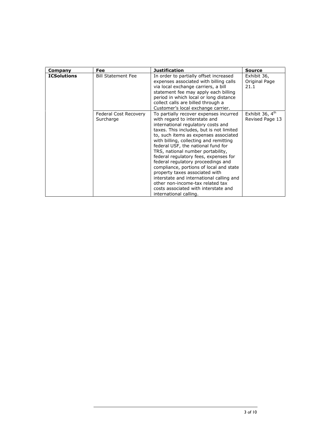| Company            | Fee                                | <b>Justification</b>                                                                                                                                                                                                                                                                                                                                                                                                                                                                                                                                                                                                                  | <b>Source</b>                                  |
|--------------------|------------------------------------|---------------------------------------------------------------------------------------------------------------------------------------------------------------------------------------------------------------------------------------------------------------------------------------------------------------------------------------------------------------------------------------------------------------------------------------------------------------------------------------------------------------------------------------------------------------------------------------------------------------------------------------|------------------------------------------------|
| <b>ICSolutions</b> | <b>Bill Statement Fee</b>          | In order to partially offset increased<br>expenses associated with billing calls<br>via local exchange carriers, a bill<br>statement fee may apply each billing<br>period in which local or long distance<br>collect calls are billed through a<br>Customer's local exchange carrier.                                                                                                                                                                                                                                                                                                                                                 | Exhibit 36,<br>Original Page<br>21.1           |
|                    | Federal Cost Recovery<br>Surcharge | To partially recover expenses incurred<br>with regard to interstate and<br>international regulatory costs and<br>taxes. This includes, but is not limited<br>to, such items as expenses associated<br>with billing, collecting and remitting<br>federal USF, the national fund for<br>TRS, national number portability,<br>federal regulatory fees, expenses for<br>federal regulatory proceedings and<br>compliance, portions of local and state<br>property taxes associated with<br>interstate and international calling and<br>other non-income-tax related tax<br>costs associated with interstate and<br>international calling. | Exhibit 36, 4 <sup>th</sup><br>Revised Page 13 |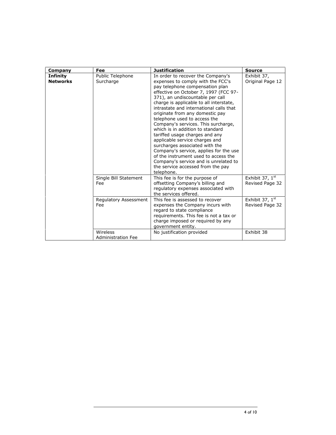| Company                     | Fee                                   | <b>Justification</b>                                                                                                                                                                                                                                                                                                                                                                                                                                                                                                                                                                                                                                                                                           | <b>Source</b>                      |
|-----------------------------|---------------------------------------|----------------------------------------------------------------------------------------------------------------------------------------------------------------------------------------------------------------------------------------------------------------------------------------------------------------------------------------------------------------------------------------------------------------------------------------------------------------------------------------------------------------------------------------------------------------------------------------------------------------------------------------------------------------------------------------------------------------|------------------------------------|
| Infinity<br><b>Networks</b> | Public Telephone<br>Surcharge         | In order to recover the Company's<br>expenses to comply with the FCC's<br>pay telephone compensation plan<br>effective on October 7, 1997 (FCC 97-<br>371), an undiscountable per call<br>charge is applicable to all interstate,<br>intrastate and international calls that<br>originate from any domestic pay<br>telephone used to access the<br>Company's services. This surcharge,<br>which is in addition to standard<br>tariffed usage charges and any<br>applicable service charges and<br>surcharges associated with the<br>Company's service, applies for the use<br>of the instrument used to access the<br>Company's service and is unrelated to<br>the service accessed from the pay<br>telephone. | Exhibit 37,<br>Original Page 12    |
|                             | Single Bill Statement<br>Fee          | This fee is for the purpose of<br>offsetting Company's billing and<br>regulatory expenses associated with<br>the services offered.                                                                                                                                                                                                                                                                                                                                                                                                                                                                                                                                                                             | Exhibit 37, 1st<br>Revised Page 32 |
|                             | Regulatory Assessment<br>Fee          | This fee is assessed to recover<br>expenses the Company incurs with<br>regard to state compliance<br>requirements. This fee is not a tax or<br>charge imposed or required by any<br>government entity.                                                                                                                                                                                                                                                                                                                                                                                                                                                                                                         | Exhibit 37, 1st<br>Revised Page 32 |
|                             | Wireless<br><b>Administration Fee</b> | No justification provided                                                                                                                                                                                                                                                                                                                                                                                                                                                                                                                                                                                                                                                                                      | Exhibit 38                         |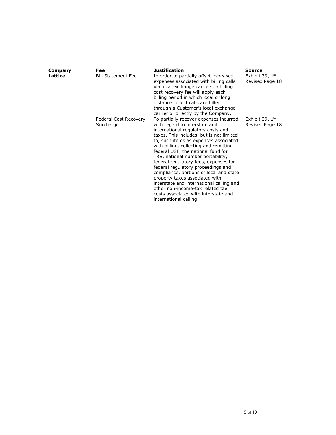| Company | Fee                                | <b>Justification</b>                                                                                                                                                                                                                                                                                                                                                                                                                                                                                                                                                                                                                  | <b>Source</b>                        |
|---------|------------------------------------|---------------------------------------------------------------------------------------------------------------------------------------------------------------------------------------------------------------------------------------------------------------------------------------------------------------------------------------------------------------------------------------------------------------------------------------------------------------------------------------------------------------------------------------------------------------------------------------------------------------------------------------|--------------------------------------|
| Lattice | <b>Bill Statement Fee</b>          | In order to partially offset increased<br>expenses associated with billing calls<br>via local exchange carriers, a billing<br>cost recovery fee will apply each<br>billing period in which local or long<br>distance collect calls are billed<br>through a Customer's local exchange<br>carrier or directly by the Company.                                                                                                                                                                                                                                                                                                           | Exhibit 39, $1st$<br>Revised Page 18 |
|         | Federal Cost Recovery<br>Surcharge | To partially recover expenses incurred<br>with regard to interstate and<br>international regulatory costs and<br>taxes. This includes, but is not limited<br>to, such items as expenses associated<br>with billing, collecting and remitting<br>federal USF, the national fund for<br>TRS, national number portability,<br>federal regulatory fees, expenses for<br>federal regulatory proceedings and<br>compliance, portions of local and state<br>property taxes associated with<br>interstate and international calling and<br>other non-income-tax related tax<br>costs associated with interstate and<br>international calling. | Exhibit 39, $1st$<br>Revised Page 18 |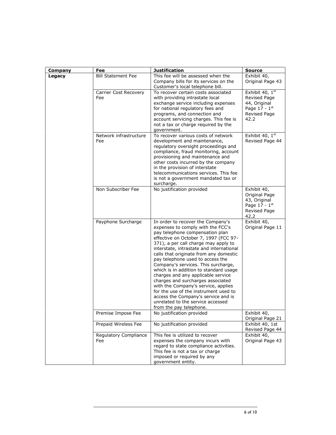| Company | Fee                           | <b>Justification</b>                                                                                                                                                                                                                                                                                                                                                                                                                                                                                                                                                                                                                                                    | <b>Source</b>                                                                                          |
|---------|-------------------------------|-------------------------------------------------------------------------------------------------------------------------------------------------------------------------------------------------------------------------------------------------------------------------------------------------------------------------------------------------------------------------------------------------------------------------------------------------------------------------------------------------------------------------------------------------------------------------------------------------------------------------------------------------------------------------|--------------------------------------------------------------------------------------------------------|
| Legacy  | <b>Bill Statement Fee</b>     | This fee will be assessed when the<br>Company bills for its services on the<br>Customer's local telephone bill.                                                                                                                                                                                                                                                                                                                                                                                                                                                                                                                                                         | Exhibit 40,<br>Original Page 43                                                                        |
|         | Carrier Cost Recovery<br>Fee  | To recover certain costs associated<br>with providing intrastate local<br>exchange service including expenses<br>for national regulatory fees and<br>programs, and connection and<br>account servicing charges. This fee is<br>not a tax or charge required by the<br>government.                                                                                                                                                                                                                                                                                                                                                                                       | Exhibit 40, 1st<br>Revised Page<br>44, Original<br>Page $17 - 1$ <sup>st</sup><br>Revised Page<br>42.2 |
|         | Network infrastructure<br>Fee | To recover various costs of network<br>development and maintenance,<br>regulatory oversight proceedings and<br>compliance, fraud monitoring, account<br>provisioning and maintenance and<br>other costs incurred by the company<br>in the provision of interstate<br>telecommunications services. This fee<br>is not a government mandated tax or<br>surcharge.                                                                                                                                                                                                                                                                                                         | Exhibit 40, 1st<br>Revised Page 44                                                                     |
|         | Non Subscriber Fee            | No justification provided                                                                                                                                                                                                                                                                                                                                                                                                                                                                                                                                                                                                                                               | Exhibit 40,<br>Original Page<br>43, Original<br>Page $17 - 1$ <sup>st</sup><br>Revised Page<br>42.2    |
|         | Payphone Surcharge            | In order to recover the Company's<br>expenses to comply with the FCC's<br>pay telephone compensation plan<br>effective on October 7, 1997 (FCC 97-<br>371), a per call charge may apply to<br>interstate, intrastate and international<br>calls that originate from any domestic<br>pay telephone used to access the<br>Company's services. This surcharge,<br>which is in addition to standard usage<br>charges and any applicable service<br>charges and surcharges associated<br>with the Company's service, applies<br>for the use of the instrument used to<br>access the Company's service and is<br>unrelated to the service accessed<br>from the pay telephone. | Exhibit 40,<br>Original Page 11                                                                        |
|         | Premise Impose Fee            | No justification provided                                                                                                                                                                                                                                                                                                                                                                                                                                                                                                                                                                                                                                               | Exhibit 40,<br>Original Page 21                                                                        |
|         | Prepaid Wireless Fee          | No justification provided                                                                                                                                                                                                                                                                                                                                                                                                                                                                                                                                                                                                                                               | Exhibit 40, 1st<br>Revised Page 44                                                                     |
|         | Regulatory Compliance<br>Fee  | This fee is utilized to recover<br>expenses the company incurs with<br>regard to state compliance activities.<br>This fee is not a tax or charge<br>imposed or required by any<br>government entity.                                                                                                                                                                                                                                                                                                                                                                                                                                                                    | Exhibit 40,<br>Original Page 43                                                                        |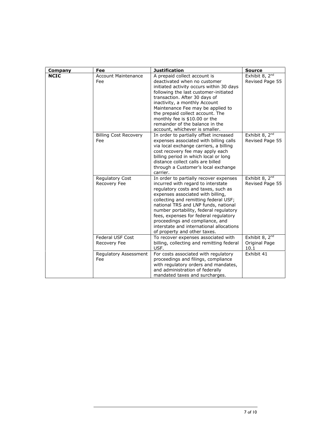| Company     | Fee                                     | <b>Justification</b>                                                                                                                                                                                                                                                                                                                                                                                                                        | <b>Source</b>                                       |
|-------------|-----------------------------------------|---------------------------------------------------------------------------------------------------------------------------------------------------------------------------------------------------------------------------------------------------------------------------------------------------------------------------------------------------------------------------------------------------------------------------------------------|-----------------------------------------------------|
| <b>NCIC</b> | Account Maintenance<br>Fee              | A prepaid collect account is<br>deactivated when no customer<br>initiated activity occurs within 30 days<br>following the last customer-initiated<br>transaction. After 30 days of<br>inactivity, a monthly Account<br>Maintenance Fee may be applied to<br>the prepaid collect account. The<br>monthly fee is \$10.00 or the<br>remainder of the balance in the<br>account, whichever is smaller.                                          | Exhibit 8, 2nd<br>Revised Page 55                   |
|             | <b>Billing Cost Recovery</b><br>Fee     | In order to partially offset increased<br>expenses associated with billing calls<br>via local exchange carriers, a billing<br>cost recovery fee may apply each<br>billing period in which local or long<br>distance collect calls are billed<br>through a Customer's local exchange<br>carrier.                                                                                                                                             | Exhibit 8, 2 <sup>nd</sup><br>Revised Page 55       |
|             | Regulatory Cost<br>Recovery Fee         | In order to partially recover expenses<br>incurred with regard to interstate<br>regulatory costs and taxes, such as<br>expenses associated with billing,<br>collecting and remitting federal USF;<br>national TRS and LNP funds, national<br>number portability, federal regulatory<br>fees, expenses for federal regulatory<br>proceedings and compliance, and<br>interstate and international allocations<br>of property and other taxes. | Exhibit 8, 2 <sup>nd</sup><br>Revised Page 55       |
|             | <b>Federal USF Cost</b><br>Recovery Fee | To recover expenses associated with<br>billing, collecting and remitting federal<br>USF.                                                                                                                                                                                                                                                                                                                                                    | Exhibit 8, 2 <sup>nd</sup><br>Original Page<br>10.1 |
|             | Regulatory Assessment<br>Fee            | For costs associated with regulatory<br>proceedings and filings, compliance<br>with regulatory orders and mandates,<br>and administration of federally<br>mandated taxes and surcharges.                                                                                                                                                                                                                                                    | Exhibit 41                                          |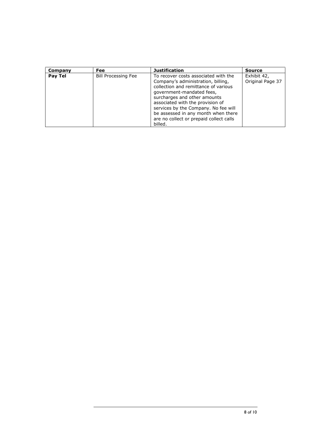| Company | Fee                        | <b>Justification</b>                                                                                                                                                                                                                                                                                                                                     | <b>Source</b>                   |
|---------|----------------------------|----------------------------------------------------------------------------------------------------------------------------------------------------------------------------------------------------------------------------------------------------------------------------------------------------------------------------------------------------------|---------------------------------|
| Pay Tel | <b>Bill Processing Fee</b> | To recover costs associated with the<br>Company's administration, billing,<br>collection and remittance of various<br>government-mandated fees,<br>surcharges and other amounts<br>associated with the provision of<br>services by the Company. No fee will<br>be assessed in any month when there<br>are no collect or prepaid collect calls<br>billed. | Exhibit 42,<br>Original Page 37 |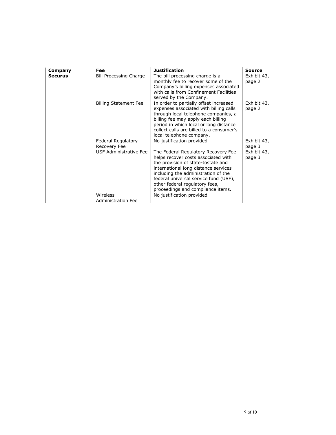| Company        | Fee                                   | <b>Justification</b>                                                                                                                                                                                                                                                                                            | <b>Source</b>         |
|----------------|---------------------------------------|-----------------------------------------------------------------------------------------------------------------------------------------------------------------------------------------------------------------------------------------------------------------------------------------------------------------|-----------------------|
| <b>Securus</b> | <b>Bill Processing Charge</b>         | The bill processing charge is a<br>monthly fee to recover some of the<br>Company's billing expenses associated<br>with calls from Confinement Facilities<br>served by the Company.                                                                                                                              | Exhibit 43,<br>page 2 |
|                | <b>Billing Statement Fee</b>          | In order to partially offset increased<br>expenses associated with billing calls<br>through local telephone companies, a<br>billing fee may apply each billing<br>period in which local or long distance<br>collect calls are billed to a consumer's<br>local telephone company.                                | Exhibit 43,<br>page 2 |
|                | Federal Regulatory<br>Recovery Fee    | No justification provided                                                                                                                                                                                                                                                                                       | Exhibit 43,<br>page 3 |
|                | USF Administrative Fee                | The Federal Regulatory Recovery Fee<br>helps recover costs associated with<br>the provision of state-tostate and<br>international long distance services<br>including the administration of the<br>federal universal service fund (USF),<br>other federal regulatory fees,<br>proceedings and compliance items. | Exhibit 43,<br>page 3 |
|                | Wireless<br><b>Administration Fee</b> | No justification provided                                                                                                                                                                                                                                                                                       |                       |